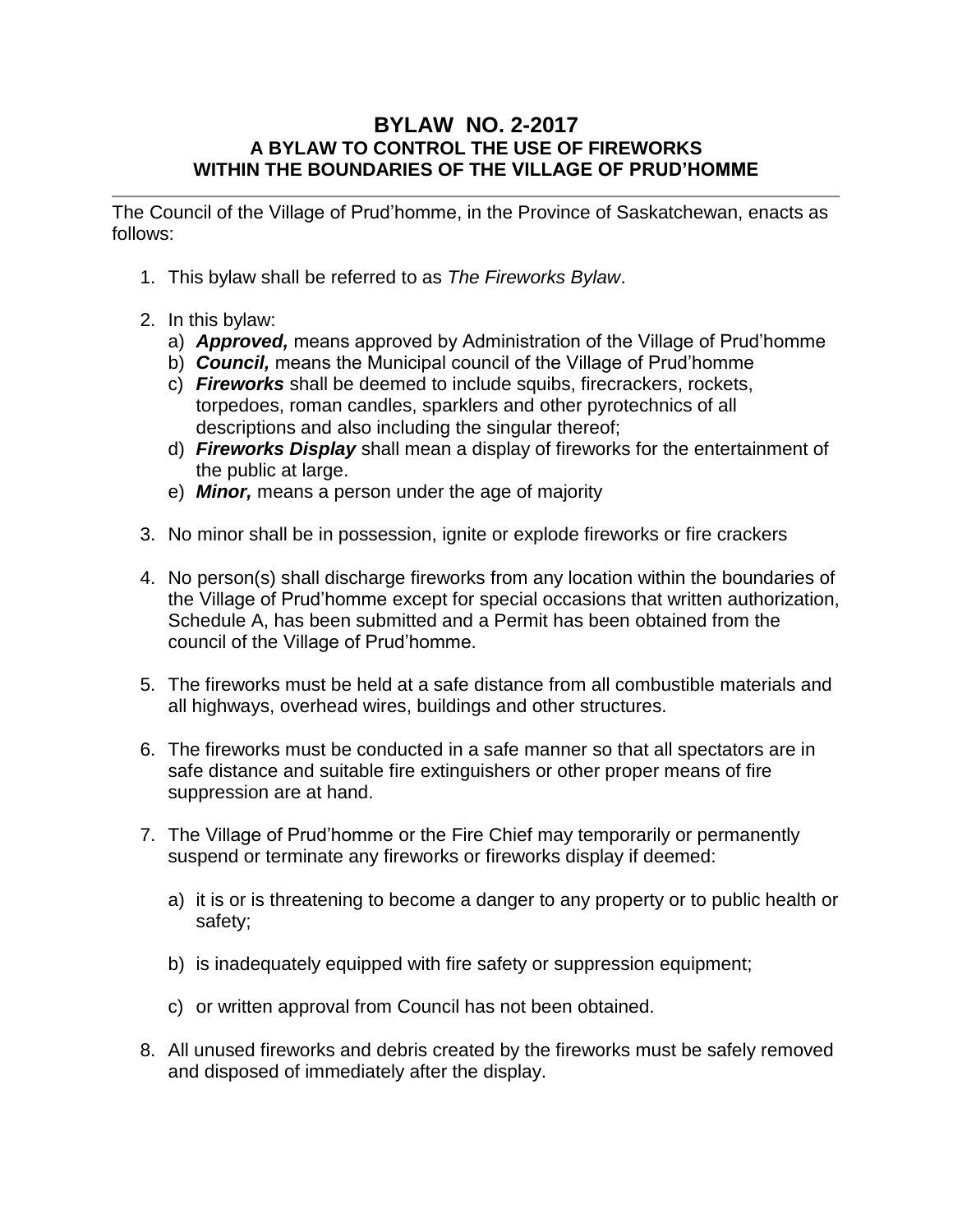## **BYLAW NO. 2-2017 A BYLAW TO CONTROL THE USE OF FIREWORKS WITHIN THE BOUNDARIES OF THE VILLAGE OF PRUD'HOMME**

The Council of the Village of Prud'homme, in the Province of Saskatchewan, enacts as follows:

- 1. This bylaw shall be referred to as *The Fireworks Bylaw*.
- 2. In this bylaw:
	- a) *Approved,* means approved by Administration of the Village of Prud'homme
	- b) *Council,* means the Municipal council of the Village of Prud'homme
	- c) *Fireworks* shall be deemed to include squibs, firecrackers, rockets, torpedoes, roman candles, sparklers and other pyrotechnics of all descriptions and also including the singular thereof;
	- d) *Fireworks Display* shall mean a display of fireworks for the entertainment of the public at large.
	- e) *Minor,* means a person under the age of majority
- 3. No minor shall be in possession, ignite or explode fireworks or fire crackers
- 4. No person(s) shall discharge fireworks from any location within the boundaries of the Village of Prud'homme except for special occasions that written authorization, Schedule A, has been submitted and a Permit has been obtained from the council of the Village of Prud'homme.
- 5. The fireworks must be held at a safe distance from all combustible materials and all highways, overhead wires, buildings and other structures.
- 6. The fireworks must be conducted in a safe manner so that all spectators are in safe distance and suitable fire extinguishers or other proper means of fire suppression are at hand.
- 7. The Village of Prud'homme or the Fire Chief may temporarily or permanently suspend or terminate any fireworks or fireworks display if deemed:
	- a) it is or is threatening to become a danger to any property or to public health or safety;
	- b) is inadequately equipped with fire safety or suppression equipment;
	- c) or written approval from Council has not been obtained.
- 8. All unused fireworks and debris created by the fireworks must be safely removed and disposed of immediately after the display.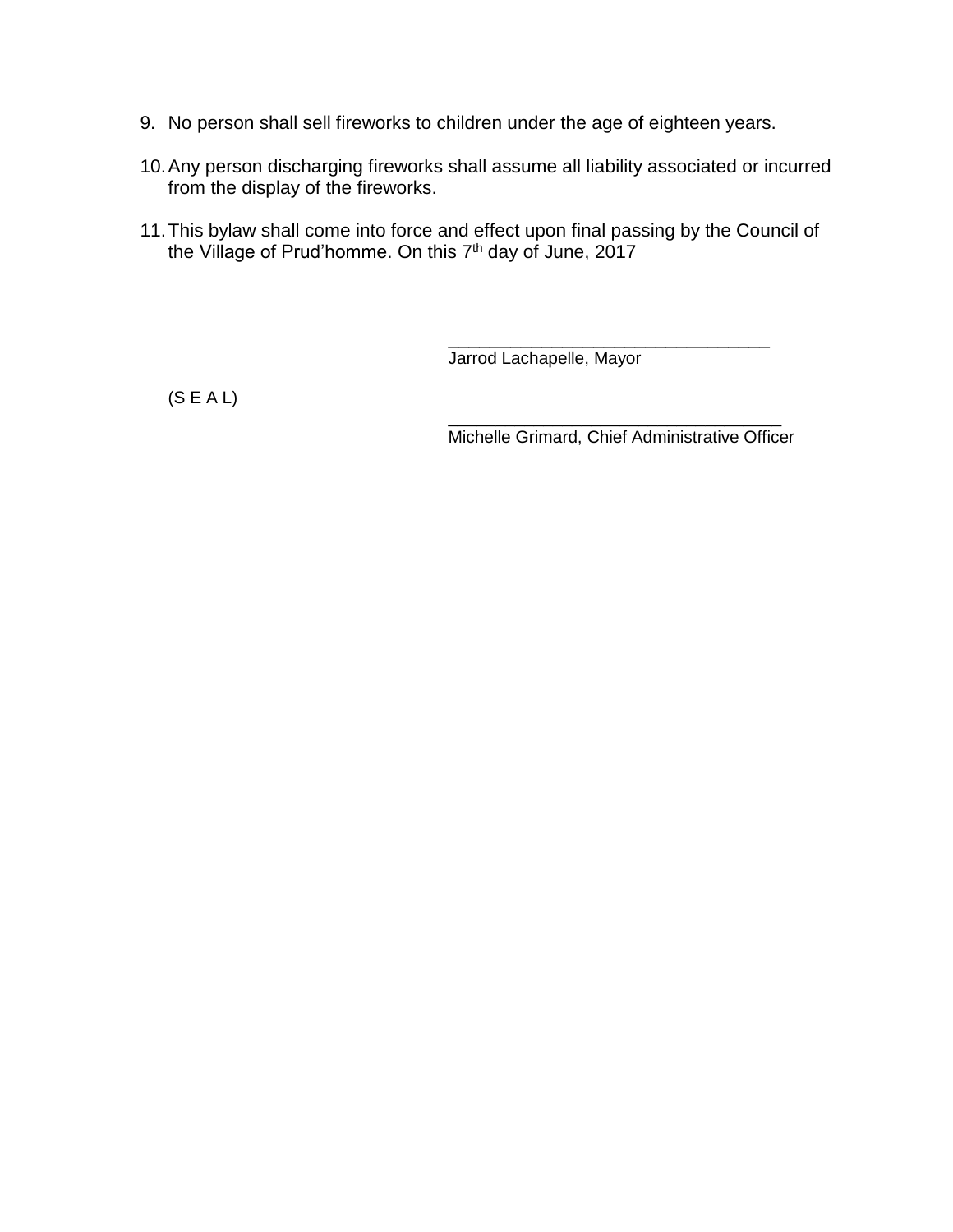- 9. No person shall sell fireworks to children under the age of eighteen years.
- 10.Any person discharging fireworks shall assume all liability associated or incurred from the display of the fireworks.
- 11.This bylaw shall come into force and effect upon final passing by the Council of the Village of Prud'homme. On this  $7<sup>th</sup>$  day of June, 2017

Jarrod Lachapelle, Mayor

(S E A L)

\_\_\_\_\_\_\_\_\_\_\_\_\_\_\_\_\_\_\_\_\_\_\_\_\_\_\_\_\_\_\_\_\_\_\_ Michelle Grimard, Chief Administrative Officer

\_\_\_\_\_\_\_\_\_\_\_\_\_\_\_\_\_\_\_\_\_\_\_\_\_\_\_\_\_\_\_